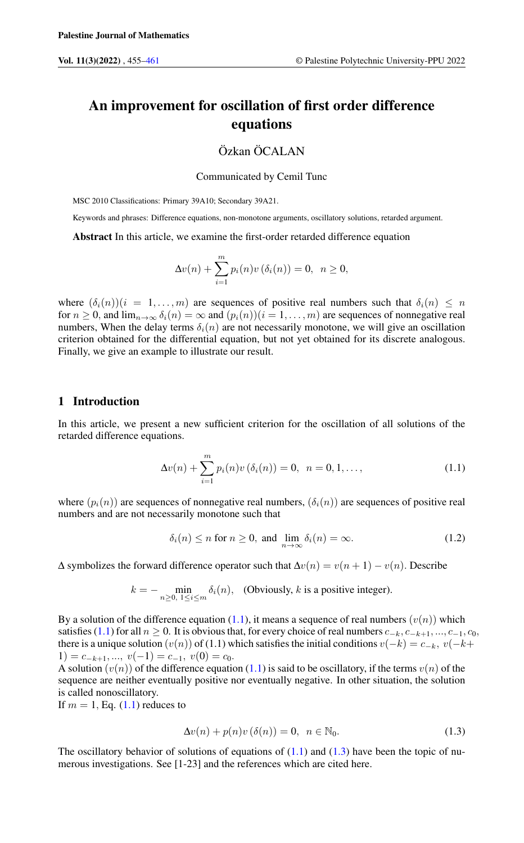# An improvement for oscillation of first order difference equations

# Özkan ÖCALAN

#### Communicated by Cemil Tunc

MSC 2010 Classifications: Primary 39A10; Secondary 39A21.

Keywords and phrases: Difference equations, non-monotone arguments, oscillatory solutions, retarded argument.

Abstract In this article, we examine the first-order retarded difference equation

$$
\Delta v(n) + \sum_{i=1}^{m} p_i(n) v(\delta_i(n)) = 0, \ \ n \ge 0,
$$

where  $(\delta_i(n))(i = 1, \ldots, m)$  are sequences of positive real numbers such that  $\delta_i(n) \leq n$ for  $n \ge 0$ , and  $\lim_{n \to \infty} \delta_i(n) = \infty$  and  $(p_i(n))(i = 1, \ldots, m)$  are sequences of nonnegative real numbers, When the delay terms  $\delta_i(n)$  are not necessarily monotone, we will give an oscillation criterion obtained for the differential equation, but not yet obtained for its discrete analogous. Finally, we give an example to illustrate our result.

# 1 Introduction

In this article, we present a new sufficient criterion for the oscillation of all solutions of the retarded difference equations.

<span id="page-0-0"></span>
$$
\Delta v(n) + \sum_{i=1}^{m} p_i(n) v(\delta_i(n)) = 0, \ \ n = 0, 1, \dots,
$$
 (1.1)

where  $(p_i(n))$  are sequences of nonnegative real numbers,  $(\delta_i(n))$  are sequences of positive real numbers and are not necessarily monotone such that

$$
\delta_i(n) \le n \text{ for } n \ge 0, \text{ and } \lim_{n \to \infty} \delta_i(n) = \infty. \tag{1.2}
$$

 $\Delta$  symbolizes the forward difference operator such that  $\Delta v(n) = v(n + 1) - v(n)$ . Describe

$$
k = -\min_{n \ge 0, 1 \le i \le m} \delta_i(n), \quad \text{(Obviously, } k \text{ is a positive integer)}.
$$

By a solution of the difference equation [\(1.1\)](#page-0-0), it means a sequence of real numbers  $(v(n))$  which satisfies [\(1.1\)](#page-0-0) for all  $n \ge 0$ . It is obvious that, for every choice of real numbers  $c_{-k}, c_{-k+1}, ..., c_{-1}, c_0$ , there is a unique solution  $(v(n))$  of (1.1) which satisfies the initial conditions  $v(-k) = c_{-k}$ ,  $v(-k+1)$  $1) = c_{-k+1}, ..., v(-1) = c_{-1}, v(0) = c_0.$ 

A solution  $(v(n))$  of the difference equation [\(1.1\)](#page-0-0) is said to be oscillatory, if the terms  $v(n)$  of the sequence are neither eventually positive nor eventually negative. In other situation, the solution is called nonoscillatory.

<span id="page-0-1"></span>If  $m = 1$ , Eq.  $(1.1)$  reduces to

$$
\Delta v(n) + p(n)v(\delta(n)) = 0, \quad n \in \mathbb{N}_0.
$$
\n(1.3)

The oscillatory behavior of solutions of equations of  $(1.1)$  and  $(1.3)$  have been the topic of numerous investigations. See [1-23] and the references which are cited here.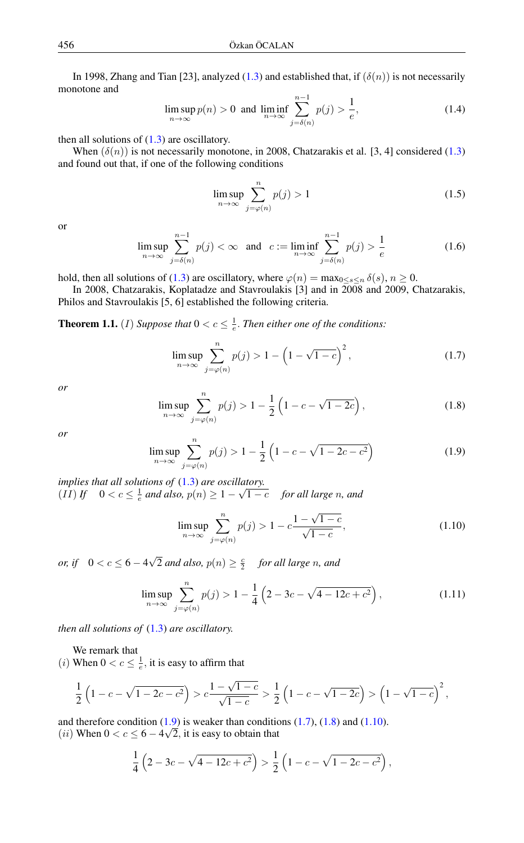In 1998, Zhang and Tian [23], analyzed [\(1.3\)](#page-0-1) and established that, if  $(\delta(n))$  is not necessarily monotone and

$$
\limsup_{n \to \infty} p(n) > 0 \text{ and } \liminf_{n \to \infty} \sum_{j=\delta(n)}^{n-1} p(j) > \frac{1}{e},
$$
\n(1.4)

then all solutions of  $(1.3)$  are oscillatory.

When  $(\delta(n))$  is not necessarily monotone, in 2008, Chatzarakis et al. [3, 4] considered [\(1.3\)](#page-0-1) and found out that, if one of the following conditions

$$
\limsup_{n \to \infty} \sum_{j=\varphi(n)}^{n} p(j) > 1
$$
\n(1.5)

or

$$
\limsup_{n \to \infty} \sum_{j=\delta(n)}^{n-1} p(j) < \infty \quad \text{and} \quad c := \liminf_{n \to \infty} \sum_{j=\delta(n)}^{n-1} p(j) > \frac{1}{e} \tag{1.6}
$$

hold, then all solutions of [\(1.3\)](#page-0-1) are oscillatory, where  $\varphi(n) = \max_{0 \le s \le n} \delta(s)$ ,  $n \ge 0$ .

In 2008, Chatzarakis, Koplatadze and Stavroulakis [3] and in 2008 and 2009, Chatzarakis, Philos and Stavroulakis [5, 6] established the following criteria.

**Theorem 1.1.** (*I*) Suppose that  $0 < c \leq \frac{1}{e}$ . Then either one of the conditions:

<span id="page-1-1"></span>
$$
\limsup_{n \to \infty} \sum_{j=\varphi(n)}^{n} p(j) > 1 - \left(1 - \sqrt{1 - c}\right)^2,
$$
\n(1.7)

<span id="page-1-2"></span>*or*

$$
\limsup_{n \to \infty} \sum_{j=\varphi(n)}^{n} p(j) > 1 - \frac{1}{2} \left( 1 - c - \sqrt{1 - 2c} \right),\tag{1.8}
$$

<span id="page-1-0"></span>*or*

$$
\limsup_{n \to \infty} \sum_{j=\varphi(n)}^{n} p(j) > 1 - \frac{1}{2} \left( 1 - c - \sqrt{1 - 2c - c^2} \right)
$$
 (1.9)

*implies that all solutions of* [\(1.3\)](#page-0-1) *are oscillatory. Implies that all solutions of* (1.5) *are oscitta*<br>(*II*) *If*  $0 < c \leq \frac{1}{e}$  and also,  $p(n) \geq 1 - \sqrt{2}$ 1 − c *for all large* n*, and*

<span id="page-1-4"></span><span id="page-1-3"></span>
$$
\limsup_{n \to \infty} \sum_{j=\varphi(n)}^{n} p(j) > 1 - c \frac{1 - \sqrt{1 - c}}{\sqrt{1 - c}},
$$
\n(1.10)

*or, if*  $0 < c \le 6 - 4$ √  $\overline{2}$  *and also,*  $p(n) \geq \frac{c}{2}$  *for all large n, and* 

$$
\limsup_{n \to \infty} \sum_{j=\varphi(n)}^{n} p(j) > 1 - \frac{1}{4} \left( 2 - 3c - \sqrt{4 - 12c + c^2} \right),\tag{1.11}
$$

*then all solutions of* [\(1.3\)](#page-0-1) *are oscillatory.*

We remark that

(*i*) When  $0 < c \leq \frac{1}{e}$ , it is easy to affirm that

$$
\frac{1}{2}\left(1-c-\sqrt{1-2c-c^2}\right) > c\frac{1-\sqrt{1-c}}{\sqrt{1-c}} > \frac{1}{2}\left(1-c-\sqrt{1-2c}\right) > \left(1-\sqrt{1-c}\right)^2,
$$

and therefore condition  $(1.9)$  is weaker than conditions  $(1.7)$ ,  $(1.8)$  and  $(1.10)$ . (*ii*) When  $0 < c \le 6 - 4\sqrt{2}$ , it is easy to obtain that

$$
\frac{1}{4}\left(2-3c-\sqrt{4-12c+c^2}\right) > \frac{1}{2}\left(1-c-\sqrt{1-2c-c^2}\right),
$$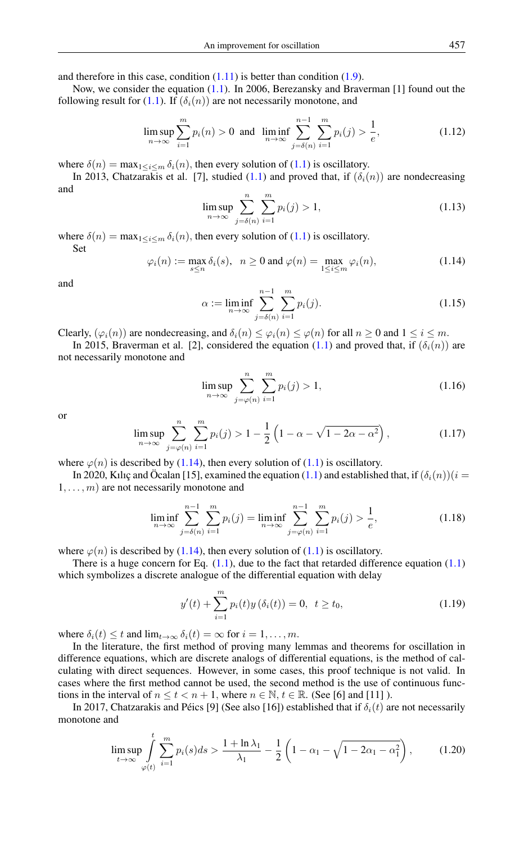and therefore in this case, condition  $(1.11)$  is better than condition  $(1.9)$ .

Now, we consider the equation [\(1.1\)](#page-0-0). In 2006, Berezansky and Braverman [1] found out the following result for [\(1.1\)](#page-0-0). If  $(\delta_i(n))$  are not necessarily monotone, and

$$
\limsup_{n \to \infty} \sum_{i=1}^{m} p_i(n) > 0 \text{ and } \liminf_{n \to \infty} \sum_{j=\delta(n)}^{n-1} \sum_{i=1}^{m} p_i(j) > \frac{1}{e},
$$
\n(1.12)

where  $\delta(n) = \max_{1 \le i \le m} \delta_i(n)$ , then every solution of [\(1.1\)](#page-0-0) is oscillatory.

In 2013, Chatzarakis et al. [7], studied [\(1.1\)](#page-0-0) and proved that, if  $(\delta_i(n))$  are nondecreasing and

$$
\limsup_{n \to \infty} \sum_{j=\delta(n)}^{n} \sum_{i=1}^{m} p_i(j) > 1,
$$
\n(1.13)

<span id="page-2-0"></span>where  $\delta(n) = \max_{1 \le i \le m} \delta_i(n)$ , then every solution of [\(1.1\)](#page-0-0) is oscillatory. Set

$$
\varphi_i(n) := \max_{s \le n} \delta_i(s), \quad n \ge 0 \text{ and } \varphi(n) = \max_{1 \le i \le m} \varphi_i(n), \tag{1.14}
$$

<span id="page-2-3"></span>and

$$
\alpha := \liminf_{n \to \infty} \sum_{j=\delta(n)}^{n-1} \sum_{i=1}^{m} p_i(j).
$$
\n(1.15)

Clearly,  $(\varphi_i(n))$  are nondecreasing, and  $\delta_i(n) \leq \varphi_i(n) \leq \varphi(n)$  for all  $n \geq 0$  and  $1 \leq i \leq m$ .

In 2015, Braverman et al. [2], considered the equation [\(1.1\)](#page-0-0) and proved that, if  $(\delta_i(n))$  are not necessarily monotone and

<span id="page-2-4"></span>
$$
\limsup_{n \to \infty} \sum_{j=\varphi(n)}^{n} \sum_{i=1}^{m} p_i(j) > 1,
$$
\n(1.16)

<span id="page-2-6"></span>or

$$
\limsup_{n \to \infty} \sum_{j=\varphi(n)}^{n} \sum_{i=1}^{m} p_i(j) > 1 - \frac{1}{2} \left( 1 - \alpha - \sqrt{1 - 2\alpha - \alpha^2} \right),\tag{1.17}
$$

where  $\varphi(n)$  is described by [\(1.14\)](#page-2-0), then every solution of [\(1.1\)](#page-0-0) is oscillatory.

In 2020, Kılıç and Öcalan [15], examined the equation [\(1.1\)](#page-0-0) and established that, if  $(\delta_i(n))(i =$  $1, \ldots, m$ ) are not necessarily monotone and

<span id="page-2-5"></span>
$$
\liminf_{n \to \infty} \sum_{j=\delta(n)}^{n-1} \sum_{i=1}^{m} p_i(j) = \liminf_{n \to \infty} \sum_{j=\varphi(n)}^{n-1} \sum_{i=1}^{m} p_i(j) > \frac{1}{e},
$$
\n(1.18)

where  $\varphi(n)$  is described by [\(1.14\)](#page-2-0), then every solution of [\(1.1\)](#page-0-0) is oscillatory.

There is a huge concern for Eq.  $(1.1)$ , due to the fact that retarded difference equation  $(1.1)$ which symbolizes a discrete analogue of the differential equation with delay

<span id="page-2-1"></span>
$$
y'(t) + \sum_{i=1}^{m} p_i(t)y(\delta_i(t)) = 0, \ t \ge t_0,
$$
\n(1.19)

where  $\delta_i(t) \leq t$  and  $\lim_{t \to \infty} \delta_i(t) = \infty$  for  $i = 1, \ldots, m$ .

In the literature, the first method of proving many lemmas and theorems for oscillation in difference equations, which are discrete analogs of differential equations, is the method of calculating with direct sequences. However, in some cases, this proof technique is not valid. In cases where the first method cannot be used, the second method is the use of continuous functions in the interval of  $n \le t < n + 1$ , where  $n \in \mathbb{N}$ ,  $t \in \mathbb{R}$ . (See [6] and [11] ).

In 2017, Chatzarakis and Péics [9] (See also [16]) established that if  $\delta_i(t)$  are not necessarily monotone and

<span id="page-2-2"></span>
$$
\limsup_{t \to \infty} \int_{\varphi(t)}^t \sum_{i=1}^m p_i(s) ds > \frac{1 + \ln \lambda_1}{\lambda_1} - \frac{1}{2} \left( 1 - \alpha_1 - \sqrt{1 - 2\alpha_1 - \alpha_1^2} \right),\tag{1.20}
$$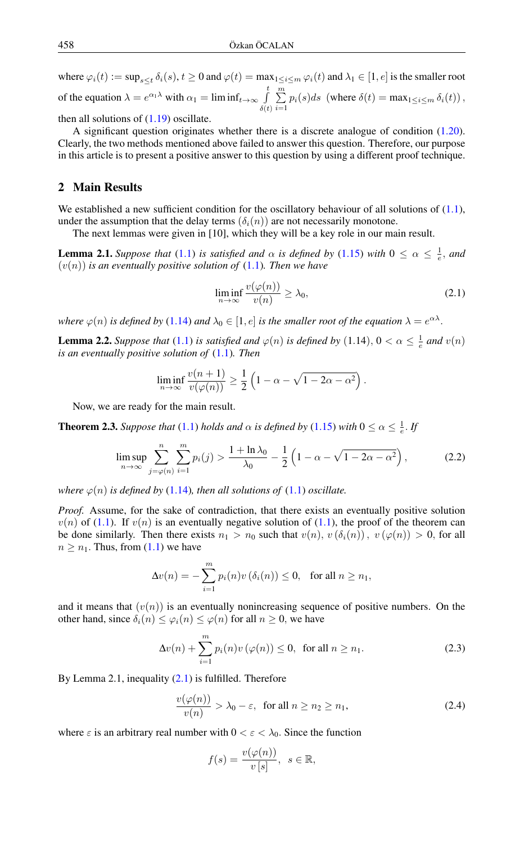where  $\varphi_i(t) := \sup_{s \le t} \delta_i(s), t \ge 0$  and  $\varphi(t) = \max_{1 \le i \le m} \varphi_i(t)$  and  $\lambda_1 \in [1, e]$  is the smaller root of the equation  $\lambda = e^{\alpha_1 \lambda}$  with  $\alpha_1 = \liminf_{t \to \infty} \int_0^t$  $\delta(t)$  $\sum^m$  $\sum_{i=1} p_i(s)ds$  (where  $\delta(t) = \max_{1 \le i \le m} \delta_i(t)$ ),

then all solutions of  $(1.19)$  oscillate.

A significant question originates whether there is a discrete analogue of condition [\(1.20\)](#page-2-2). Clearly, the two methods mentioned above failed to answer this question. Therefore, our purpose in this article is to present a positive answer to this question by using a different proof technique.

## 2 Main Results

We established a new sufficient condition for the oscillatory behaviour of all solutions of  $(1.1)$ , under the assumption that the delay terms  $(\delta_i(n))$  are not necessarily monotone.

The next lemmas were given in [10], which they will be a key role in our main result.

**Lemma 2.1.** *Suppose that* [\(1.1\)](#page-0-0) *is satisfied and*  $\alpha$  *is defined by* [\(1.15\)](#page-2-3) *with*  $0 \leq \alpha \leq \frac{1}{e}$ *, and*  $(v(n))$  *is an eventually positive solution of*  $(1.1)$ *. Then we have* 

<span id="page-3-2"></span><span id="page-3-0"></span>
$$
\liminf_{n \to \infty} \frac{v(\varphi(n))}{v(n)} \ge \lambda_0,\tag{2.1}
$$

where  $\varphi(n)$  is defined by [\(1.14\)](#page-2-0) and  $\lambda_0 \in [1, e]$  is the smaller root of the equation  $\lambda = e^{\alpha \lambda}$ .

**Lemma 2.2.** *Suppose that* [\(1.1\)](#page-0-0) *is satisfied and*  $\varphi(n)$  *is defined by* (1.14),  $0 < \alpha \leq \frac{1}{e}$  *and*  $v(n)$ *is an eventually positive solution of* [\(1.1\)](#page-0-0)*. Then*

$$
\liminf_{n \to \infty} \frac{v(n+1)}{v(\varphi(n))} \ge \frac{1}{2} \left( 1 - \alpha - \sqrt{1 - 2\alpha - \alpha^2} \right).
$$

Now, we are ready for the main result.

**Theorem 2.3.** *Suppose that* [\(1.1\)](#page-0-0) *holds and*  $\alpha$  *is defined by* [\(1.15\)](#page-2-3) *with*  $0 \le \alpha \le \frac{1}{e}$ *. If* 

$$
\limsup_{n \to \infty} \sum_{j=\varphi(n)}^{n} \sum_{i=1}^{m} p_i(j) > \frac{1 + \ln \lambda_0}{\lambda_0} - \frac{1}{2} \left( 1 - \alpha - \sqrt{1 - 2\alpha - \alpha^2} \right),\tag{2.2}
$$

*where*  $\varphi(n)$  *is defined by* [\(1.14\)](#page-2-0)*, then all solutions of* (1.1*) oscillate.* 

*Proof.* Assume, for the sake of contradiction, that there exists an eventually positive solution  $v(n)$  of [\(1.1\)](#page-0-0). If  $v(n)$  is an eventually negative solution of (1.1), the proof of the theorem can be done similarly. Then there exists  $n_1 > n_0$  such that  $v(n)$ ,  $v(\delta_i(n))$ ,  $v(\varphi(n)) > 0$ , for all  $n \geq n_1$ . Thus, from  $(1.1)$  we have

$$
\Delta v(n) = -\sum_{i=1}^{m} p_i(n)v(\delta_i(n)) \le 0, \text{ for all } n \ge n_1,
$$

and it means that  $(v(n))$  is an eventually nonincreasing sequence of positive numbers. On the other hand, since  $\delta_i(n) \leq \varphi_i(n) \leq \varphi(n)$  for all  $n \geq 0$ , we have

$$
\Delta v(n) + \sum_{i=1}^{m} p_i(n) v(\varphi(n)) \le 0, \text{ for all } n \ge n_1.
$$
 (2.3)

By Lemma 2.1, inequality  $(2.1)$  is fulfilled. Therefore

$$
\frac{v(\varphi(n))}{v(n)} > \lambda_0 - \varepsilon, \text{ for all } n \ge n_2 \ge n_1,
$$
\n(2.4)

where  $\varepsilon$  is an arbitrary real number with  $0 < \varepsilon < \lambda_0$ . Since the function

<span id="page-3-1"></span>
$$
f(s) = \frac{v(\varphi(n))}{v [s]}, \ \ s \in \mathbb{R},
$$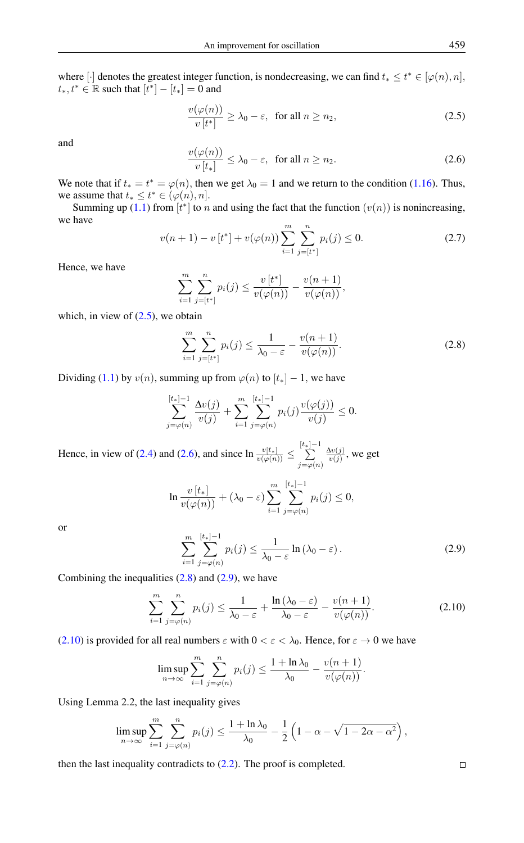where [·] denotes the greatest integer function, is nondecreasing, we can find  $t_* \leq t^* \in [\varphi(n), n]$ ,  $t_*, t^* \in \mathbb{R}$  such that  $[t^*] - [t_*] = 0$  and

<span id="page-4-0"></span>
$$
\frac{v(\varphi(n))}{v[t^*]} \ge \lambda_0 - \varepsilon, \text{ for all } n \ge n_2,
$$
\n(2.5)

<span id="page-4-1"></span>and

$$
\frac{v(\varphi(n))}{v[t_*]} \le \lambda_0 - \varepsilon, \text{ for all } n \ge n_2.
$$
 (2.6)

We note that if  $t_* = t^* = \varphi(n)$ , then we get  $\lambda_0 = 1$  and we return to the condition [\(1.16\)](#page-2-4). Thus, we assume that  $t_* \leq t^* \in (\varphi(n), n]$ .

Summing up [\(1.1\)](#page-0-0) from  $[t^*]$  to n and using the fact that the function  $(v(n))$  is nonincreasing, we have

$$
v(n+1) - v[t^*] + v(\varphi(n)) \sum_{i=1}^{m} \sum_{j=[t^*]}^{n} p_i(j) \le 0.
$$
 (2.7)

Hence, we have

$$
\sum_{i=1}^{m} \sum_{j=[t^*]}^{n} p_i(j) \leq \frac{v[t^*]}{v(\varphi(n))} - \frac{v(n+1)}{v(\varphi(n))},
$$

which, in view of  $(2.5)$ , we obtain

<span id="page-4-2"></span>
$$
\sum_{i=1}^{m} \sum_{j=[t^*]}^{n} p_i(j) \le \frac{1}{\lambda_0 - \varepsilon} - \frac{v(n+1)}{v(\varphi(n))}.
$$
 (2.8)

Dividing [\(1.1\)](#page-0-0) by  $v(n)$ , summing up from  $\varphi(n)$  to  $[t_*] - 1$ , we have

$$
\sum_{j=\varphi(n)}^{[t_*]-1} \frac{\Delta v(j)}{v(j)} + \sum_{i=1}^m \sum_{j=\varphi(n)}^{[t_*]-1} p_i(j) \frac{v(\varphi(j))}{v(j)} \le 0.
$$

Hence, in view of [\(2.4\)](#page-3-1) and [\(2.6\)](#page-4-1), and since  $\ln \frac{v[t_*]}{v(\varphi(n))}$   $\leq$  $\sum_{ }^{[t_{*}]-1}$  $j=\varphi(n)$  $\frac{\Delta v(j)}{v(j)}$ , we get

$$
\ln \frac{v[t_*]}{v(\varphi(n))} + (\lambda_0 - \varepsilon) \sum_{i=1}^m \sum_{j=\varphi(n)}^{[t_*]-1} p_i(j) \le 0,
$$

<span id="page-4-3"></span>or

<span id="page-4-4"></span>
$$
\sum_{i=1}^{m} \sum_{j=\varphi(n)}^{[t_*]-1} p_i(j) \le \frac{1}{\lambda_0 - \varepsilon} \ln(\lambda_0 - \varepsilon).
$$
 (2.9)

Combining the inequalities  $(2.8)$  and  $(2.9)$ , we have

$$
\sum_{i=1}^{m} \sum_{j=\varphi(n)}^{n} p_i(j) \le \frac{1}{\lambda_0 - \varepsilon} + \frac{\ln(\lambda_0 - \varepsilon)}{\lambda_0 - \varepsilon} - \frac{v(n+1)}{v(\varphi(n))}.
$$
 (2.10)

[\(2.10\)](#page-4-4) is provided for all real numbers  $\varepsilon$  with  $0 < \varepsilon < \lambda_0$ . Hence, for  $\varepsilon \to 0$  we have

$$
\limsup_{n \to \infty} \sum_{i=1}^m \sum_{j=\varphi(n)}^n p_i(j) \le \frac{1 + \ln \lambda_0}{\lambda_0} - \frac{v(n+1)}{v(\varphi(n))}.
$$

Using Lemma 2.2, the last inequality gives

$$
\limsup_{n \to \infty} \sum_{i=1}^m \sum_{j=\varphi(n)}^n p_i(j) \le \frac{1 + \ln \lambda_0}{\lambda_0} - \frac{1}{2} \left( 1 - \alpha - \sqrt{1 - 2\alpha - \alpha^2} \right),
$$

then the last inequality contradicts to  $(2.2)$ . The proof is completed.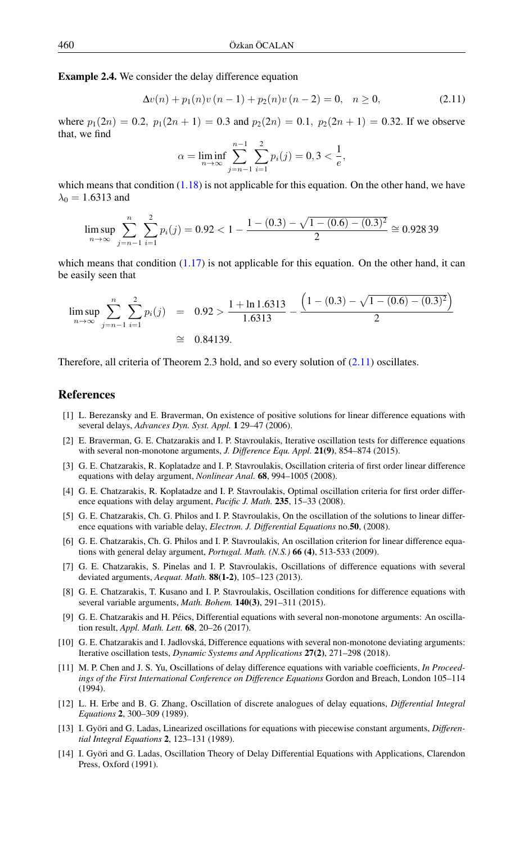Example 2.4. We consider the delay difference equation

$$
\Delta v(n) + p_1(n)v(n-1) + p_2(n)v(n-2) = 0, \quad n \ge 0,
$$
\n(2.11)

where  $p_1(2n) = 0.2$ ,  $p_1(2n+1) = 0.3$  and  $p_2(2n) = 0.1$ ,  $p_2(2n+1) = 0.32$ . If we observe that, we find

<span id="page-5-1"></span>
$$
\alpha = \liminf_{n \to \infty} \sum_{j=n-1}^{n-1} \sum_{i=1}^{2} p_i(j) = 0, 3 < \frac{1}{e},
$$

which means that condition  $(1.18)$  is not applicable for this equation. On the other hand, we have  $\lambda_0 = 1.6313$  and

$$
\limsup_{n \to \infty} \sum_{j=n-1}^{n} \sum_{i=1}^{2} p_i(j) = 0.92 < 1 - \frac{1 - (0.3) - \sqrt{1 - (0.6) - (0.3)^2}}{2} \cong 0.92839
$$

which means that condition  $(1.17)$  is not applicable for this equation. On the other hand, it can be easily seen that

$$
\limsup_{n \to \infty} \sum_{j=n-1}^{n} \sum_{i=1}^{2} p_i(j) = 0.92 > \frac{1 + \ln 1.6313}{1.6313} - \frac{\left(1 - (0.3) - \sqrt{1 - (0.6) - (0.3)^2}\right)}{2}
$$
  
\n
$$
\cong 0.84139.
$$

Therefore, all criteria of Theorem 2.3 hold, and so every solution of [\(2.11\)](#page-5-1) oscillates.

### <span id="page-5-0"></span>References

- [1] L. Berezansky and E. Braverman, On existence of positive solutions for linear difference equations with several delays, *Advances Dyn. Syst. Appl.* 1 29–47 (2006).
- [2] E. Braverman, G. E. Chatzarakis and I. P. Stavroulakis, Iterative oscillation tests for difference equations with several non-monotone arguments, *J. Difference Equ. Appl.* 21(9), 854–874 (2015).
- [3] G. E. Chatzarakis, R. Koplatadze and I. P. Stavroulakis, Oscillation criteria of first order linear difference equations with delay argument, *Nonlinear Anal.* 68, 994–1005 (2008).
- [4] G. E. Chatzarakis, R. Koplatadze and I. P. Stavroulakis, Optimal oscillation criteria for first order difference equations with delay argument, *Pacific J. Math.* 235, 15–33 (2008).
- [5] G. E. Chatzarakis, Ch. G. Philos and I. P. Stavroulakis, On the oscillation of the solutions to linear difference equations with variable delay, *Electron. J. Differential Equations* no.50, (2008).
- [6] G. E. Chatzarakis, Ch. G. Philos and I. P. Stavroulakis, An oscillation criterion for linear difference equations with general delay argument, *Portugal. Math. (N.S.)* 66 (4), 513-533 (2009).
- [7] G. E. Chatzarakis, S. Pinelas and I. P. Stavroulakis, Oscillations of difference equations with several deviated arguments, *Aequat. Math.* 88(1-2), 105–123 (2013).
- [8] G. E. Chatzarakis, T. Kusano and I. P. Stavroulakis, Oscillation conditions for difference equations with several variable arguments, *Math. Bohem.* 140(3), 291–311 (2015).
- [9] G. E. Chatzarakis and H. Péics, Differential equations with several non-monotone arguments: An oscillation result, *Appl. Math. Lett.* 68, 20–26 (2017).
- [10] G. E. Chatzarakis and I. Jadlovská, Difference equations with several non-monotone deviating arguments: Iterative oscillation tests, *Dynamic Systems and Applications* 27(2), 271–298 (2018).
- [11] M. P. Chen and J. S. Yu, Oscillations of delay difference equations with variable coefficients, *In Proceedings of the First International Conference on Difference Equations* Gordon and Breach, London 105–114 (1994).
- [12] L. H. Erbe and B. G. Zhang, Oscillation of discrete analogues of delay equations, *Differential Integral Equations* 2, 300–309 (1989).
- [13] I. Györi and G. Ladas, Linearized oscillations for equations with piecewise constant arguments, *Differential Integral Equations* 2, 123–131 (1989).
- [14] I. Györi and G. Ladas, Oscillation Theory of Delay Differential Equations with Applications, Clarendon Press, Oxford (1991).